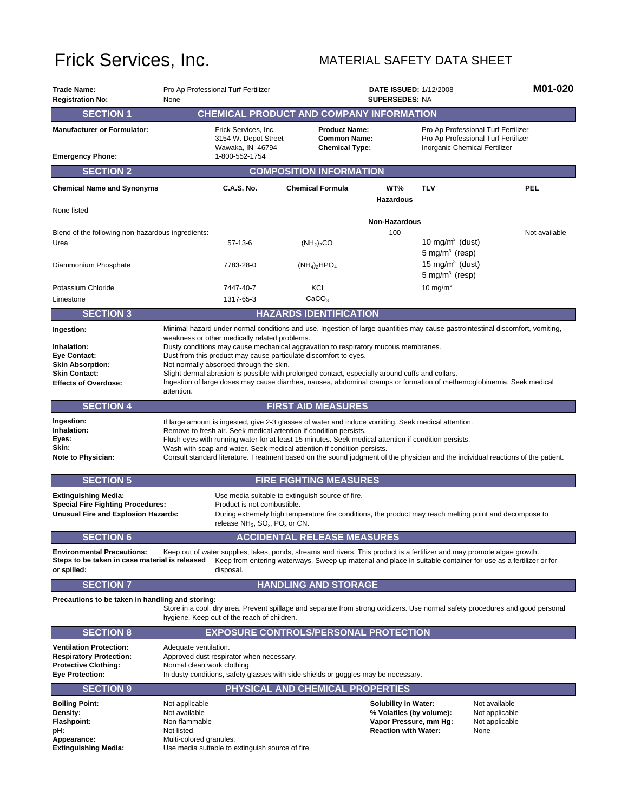## Frick Services, Inc. MATERIAL SAFETY DATA SHEET

| <b>Trade Name:</b><br><b>Registration No:</b>                                                      | None                                                                                                                                                                                                                                                                                                                                                                                                                                                                                             | Pro Ap Professional Turf Fertilizer                                                                                                   |                                                                                                         | <b>DATE ISSUED: 1/12/2008</b><br><b>SUPERSEDES: NA</b>  |                                                  |                                                                                                                                |  |  |
|----------------------------------------------------------------------------------------------------|--------------------------------------------------------------------------------------------------------------------------------------------------------------------------------------------------------------------------------------------------------------------------------------------------------------------------------------------------------------------------------------------------------------------------------------------------------------------------------------------------|---------------------------------------------------------------------------------------------------------------------------------------|---------------------------------------------------------------------------------------------------------|---------------------------------------------------------|--------------------------------------------------|--------------------------------------------------------------------------------------------------------------------------------|--|--|
| <b>SECTION 1</b>                                                                                   |                                                                                                                                                                                                                                                                                                                                                                                                                                                                                                  | <b>CHEMICAL PRODUCT AND COMPANY INFORMATION</b>                                                                                       |                                                                                                         |                                                         |                                                  |                                                                                                                                |  |  |
| <b>Manufacturer or Formulator:</b>                                                                 |                                                                                                                                                                                                                                                                                                                                                                                                                                                                                                  | Frick Services, Inc.<br>3154 W. Depot Street<br>Wawaka, IN 46794                                                                      | <b>Product Name:</b><br><b>Common Name:</b><br><b>Chemical Type:</b>                                    |                                                         | Inorganic Chemical Fertilizer                    | Pro Ap Professional Turf Fertilizer<br>Pro Ap Professional Turf Fertilizer                                                     |  |  |
| <b>Emergency Phone:</b>                                                                            |                                                                                                                                                                                                                                                                                                                                                                                                                                                                                                  | 1-800-552-1754                                                                                                                        |                                                                                                         |                                                         |                                                  |                                                                                                                                |  |  |
| <b>SECTION 2</b>                                                                                   | <b>COMPOSITION INFORMATION</b>                                                                                                                                                                                                                                                                                                                                                                                                                                                                   |                                                                                                                                       |                                                                                                         |                                                         |                                                  |                                                                                                                                |  |  |
| <b>Chemical Name and Synonyms</b>                                                                  |                                                                                                                                                                                                                                                                                                                                                                                                                                                                                                  | C.A.S. No.                                                                                                                            | <b>Chemical Formula</b>                                                                                 | WT%<br><b>Hazardous</b>                                 | <b>TLV</b>                                       | <b>PEL</b>                                                                                                                     |  |  |
| None listed                                                                                        |                                                                                                                                                                                                                                                                                                                                                                                                                                                                                                  |                                                                                                                                       | <b>Non-Hazardous</b>                                                                                    |                                                         |                                                  |                                                                                                                                |  |  |
| Blend of the following non-hazardous ingredients:                                                  |                                                                                                                                                                                                                                                                                                                                                                                                                                                                                                  |                                                                                                                                       |                                                                                                         | 100                                                     |                                                  | Not available                                                                                                                  |  |  |
| Urea                                                                                               |                                                                                                                                                                                                                                                                                                                                                                                                                                                                                                  | 57-13-6                                                                                                                               | (NH <sub>2</sub> ) <sub>2</sub> CO                                                                      |                                                         | 10 mg/m $3$ (dust)<br>5 mg/m <sup>3</sup> (resp) |                                                                                                                                |  |  |
| Diammonium Phosphate                                                                               |                                                                                                                                                                                                                                                                                                                                                                                                                                                                                                  | 7783-28-0                                                                                                                             | $(NH_4)_2HPO_4$                                                                                         |                                                         | 15 mg/ $m^3$ (dust)<br>5 mg/ $m^3$ (resp)        |                                                                                                                                |  |  |
| Potassium Chloride                                                                                 |                                                                                                                                                                                                                                                                                                                                                                                                                                                                                                  | 7447-40-7                                                                                                                             | KCI                                                                                                     |                                                         | 10 mg/m $3$                                      |                                                                                                                                |  |  |
| Limestone                                                                                          |                                                                                                                                                                                                                                                                                                                                                                                                                                                                                                  | 1317-65-3                                                                                                                             | CaCO <sub>3</sub>                                                                                       |                                                         |                                                  |                                                                                                                                |  |  |
| <b>SECTION 3</b>                                                                                   |                                                                                                                                                                                                                                                                                                                                                                                                                                                                                                  |                                                                                                                                       | <b>HAZARDS IDENTIFICATION</b>                                                                           |                                                         |                                                  |                                                                                                                                |  |  |
| Ingestion:                                                                                         |                                                                                                                                                                                                                                                                                                                                                                                                                                                                                                  | weakness or other medically related problems.                                                                                         |                                                                                                         |                                                         |                                                  | Minimal hazard under normal conditions and use. Ingestion of large quantities may cause gastrointestinal discomfort, vomiting, |  |  |
| Inhalation:<br><b>Eye Contact:</b>                                                                 |                                                                                                                                                                                                                                                                                                                                                                                                                                                                                                  | Dusty conditions may cause mechanical aggravation to respiratory mucous membranes.                                                    |                                                                                                         |                                                         |                                                  |                                                                                                                                |  |  |
| <b>Skin Absorption:</b>                                                                            | Dust from this product may cause particulate discomfort to eyes.<br>Not normally absorbed through the skin.                                                                                                                                                                                                                                                                                                                                                                                      |                                                                                                                                       |                                                                                                         |                                                         |                                                  |                                                                                                                                |  |  |
| <b>Skin Contact:</b>                                                                               |                                                                                                                                                                                                                                                                                                                                                                                                                                                                                                  | Slight dermal abrasion is possible with prolonged contact, especially around cuffs and collars.                                       |                                                                                                         |                                                         |                                                  | Ingestion of large doses may cause diarrhea, nausea, abdominal cramps or formation of methemoglobinemia. Seek medical          |  |  |
| <b>Effects of Overdose:</b>                                                                        | attention.                                                                                                                                                                                                                                                                                                                                                                                                                                                                                       |                                                                                                                                       |                                                                                                         |                                                         |                                                  |                                                                                                                                |  |  |
| <b>SECTION 4</b>                                                                                   |                                                                                                                                                                                                                                                                                                                                                                                                                                                                                                  |                                                                                                                                       | <b>FIRST AID MEASURES</b>                                                                               |                                                         |                                                  |                                                                                                                                |  |  |
| Ingestion:<br>Inhalation:<br>Eyes:<br>Skin:<br><b>Note to Physician:</b>                           | If large amount is ingested, give 2-3 glasses of water and induce vomiting. Seek medical attention.<br>Remove to fresh air. Seek medical attention if condition persists.<br>Flush eyes with running water for at least 15 minutes. Seek medical attention if condition persists.<br>Wash with soap and water. Seek medical attention if condition persists.<br>Consult standard literature. Treatment based on the sound judgment of the physician and the individual reactions of the patient. |                                                                                                                                       |                                                                                                         |                                                         |                                                  |                                                                                                                                |  |  |
|                                                                                                    |                                                                                                                                                                                                                                                                                                                                                                                                                                                                                                  |                                                                                                                                       |                                                                                                         |                                                         |                                                  |                                                                                                                                |  |  |
| <b>SECTION 5</b>                                                                                   |                                                                                                                                                                                                                                                                                                                                                                                                                                                                                                  |                                                                                                                                       |                                                                                                         |                                                         |                                                  |                                                                                                                                |  |  |
| <b>Extinguishing Media:</b>                                                                        |                                                                                                                                                                                                                                                                                                                                                                                                                                                                                                  | Use media suitable to extinguish source of fire.                                                                                      | <b>FIRE FIGHTING MEASURES</b>                                                                           |                                                         |                                                  |                                                                                                                                |  |  |
| <b>Special Fire Fighting Procedures:</b><br>Unusual Fire and Explosion Hazards:                    |                                                                                                                                                                                                                                                                                                                                                                                                                                                                                                  | Product is not combustible.                                                                                                           | During extremely high temperature fire conditions, the product may reach melting point and decompose to |                                                         |                                                  |                                                                                                                                |  |  |
|                                                                                                    |                                                                                                                                                                                                                                                                                                                                                                                                                                                                                                  | release NH <sub>3</sub> , SO <sub>x</sub> , PO <sub>x</sub> or CN.                                                                    |                                                                                                         |                                                         |                                                  |                                                                                                                                |  |  |
| <b>SECTION 6</b>                                                                                   |                                                                                                                                                                                                                                                                                                                                                                                                                                                                                                  |                                                                                                                                       | <b>ACCIDENTAL RELEASE MEASURES</b>                                                                      |                                                         |                                                  |                                                                                                                                |  |  |
| <b>Environmental Precautions:</b><br>Steps to be taken in case material is released<br>or spilled: |                                                                                                                                                                                                                                                                                                                                                                                                                                                                                                  | Keep out of water supplies, lakes, ponds, streams and rivers. This product is a fertilizer and may promote algae growth.<br>disposal. |                                                                                                         |                                                         |                                                  | Keep from entering waterways. Sweep up material and place in suitable container for use as a fertilizer or for                 |  |  |
| <b>SECTION 7</b>                                                                                   |                                                                                                                                                                                                                                                                                                                                                                                                                                                                                                  |                                                                                                                                       | <b>HANDLING AND STORAGE</b>                                                                             |                                                         |                                                  |                                                                                                                                |  |  |
| Precautions to be taken in handling and storing:                                                   |                                                                                                                                                                                                                                                                                                                                                                                                                                                                                                  | hygiene. Keep out of the reach of children.                                                                                           |                                                                                                         |                                                         |                                                  | Store in a cool, dry area. Prevent spillage and separate from strong oxidizers. Use normal safety procedures and good personal |  |  |
| <b>SECTION 8</b>                                                                                   |                                                                                                                                                                                                                                                                                                                                                                                                                                                                                                  | <b>EXPOSURE CONTROLS/PERSONAL PROTECTION</b>                                                                                          |                                                                                                         |                                                         |                                                  |                                                                                                                                |  |  |
| <b>Ventilation Protection:</b><br><b>Respiratory Protection:</b><br><b>Protective Clothing:</b>    | Adequate ventilation.<br>Normal clean work clothing.                                                                                                                                                                                                                                                                                                                                                                                                                                             | Approved dust respirator when necessary.                                                                                              |                                                                                                         |                                                         |                                                  |                                                                                                                                |  |  |
| <b>Eye Protection:</b>                                                                             |                                                                                                                                                                                                                                                                                                                                                                                                                                                                                                  | In dusty conditions, safety glasses with side shields or goggles may be necessary.                                                    |                                                                                                         |                                                         |                                                  |                                                                                                                                |  |  |
| <b>SECTION 9</b>                                                                                   |                                                                                                                                                                                                                                                                                                                                                                                                                                                                                                  |                                                                                                                                       | PHYSICAL AND CHEMICAL PROPERTIES                                                                        |                                                         |                                                  |                                                                                                                                |  |  |
| <b>Boiling Point:</b><br>Density:                                                                  | Not applicable<br>Not available                                                                                                                                                                                                                                                                                                                                                                                                                                                                  |                                                                                                                                       |                                                                                                         | <b>Solubility in Water:</b><br>% Volatiles (by volume): |                                                  | Not available<br>Not applicable                                                                                                |  |  |
| <b>Flashpoint:</b><br>pH:                                                                          | Non-flammable<br>Not listed                                                                                                                                                                                                                                                                                                                                                                                                                                                                      |                                                                                                                                       |                                                                                                         | Vapor Pressure, mm Hg:<br><b>Reaction with Water:</b>   |                                                  | Not applicable<br>None                                                                                                         |  |  |